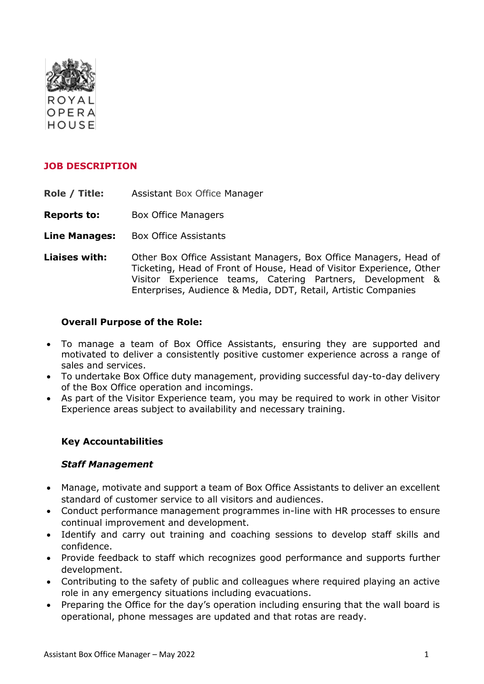

### **JOB DESCRIPTION**

**Role / Title:** Assistant Box Office Manager

**Reports to:** Box Office Managers

- **Line Manages:** Box Office Assistants
- **Liaises with:** Other Box Office Assistant Managers, Box Office Managers, Head of Ticketing, Head of Front of House, Head of Visitor Experience, Other Visitor Experience teams, Catering Partners, Development & Enterprises, Audience & Media, DDT, Retail, Artistic Companies

#### **Overall Purpose of the Role:**

- To manage a team of Box Office Assistants, ensuring they are supported and motivated to deliver a consistently positive customer experience across a range of sales and services.
- To undertake Box Office duty management, providing successful day-to-day delivery of the Box Office operation and incomings.
- As part of the Visitor Experience team, you may be required to work in other Visitor Experience areas subject to availability and necessary training.

#### **Key Accountabilities**

#### *Staff Management*

- Manage, motivate and support a team of Box Office Assistants to deliver an excellent standard of customer service to all visitors and audiences.
- Conduct performance management programmes in-line with HR processes to ensure continual improvement and development.
- Identify and carry out training and coaching sessions to develop staff skills and confidence.
- Provide feedback to staff which recognizes good performance and supports further development.
- Contributing to the safety of public and colleagues where required playing an active role in any emergency situations including evacuations.
- Preparing the Office for the day's operation including ensuring that the wall board is operational, phone messages are updated and that rotas are ready.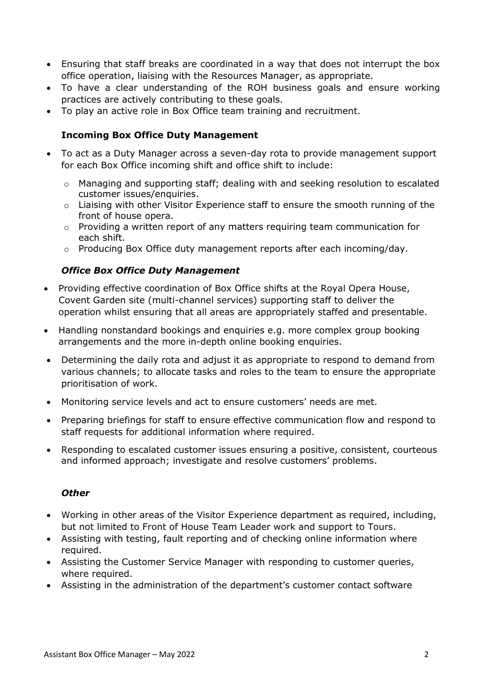- Ensuring that staff breaks are coordinated in a way that does not interrupt the box office operation, liaising with the Resources Manager, as appropriate.
- To have a clear understanding of the ROH business goals and ensure working practices are actively contributing to these goals.
- To play an active role in Box Office team training and recruitment.

### **Incoming Box Office Duty Management**

- To act as a Duty Manager across a seven-day rota to provide management support for each Box Office incoming shift and office shift to include:
	- o Managing and supporting staff; dealing with and seeking resolution to escalated customer issues/enquiries.
	- $\circ$  Liaising with other Visitor Experience staff to ensure the smooth running of the front of house opera.
	- o Providing a written report of any matters requiring team communication for each shift.
	- $\circ$  Producing Box Office duty management reports after each incoming/day.

### *Office Box Office Duty Management*

- Providing effective coordination of Box Office shifts at the Royal Opera House, Covent Garden site (multi-channel services) supporting staff to deliver the operation whilst ensuring that all areas are appropriately staffed and presentable.
- Handling nonstandard bookings and enquiries e.g. more complex group booking arrangements and the more in-depth online booking enquiries.
- Determining the daily rota and adjust it as appropriate to respond to demand from various channels; to allocate tasks and roles to the team to ensure the appropriate prioritisation of work.
- Monitoring service levels and act to ensure customers' needs are met.
- Preparing briefings for staff to ensure effective communication flow and respond to staff requests for additional information where required.
- Responding to escalated customer issues ensuring a positive, consistent, courteous and informed approach; investigate and resolve customers' problems.

#### *Other*

- Working in other areas of the Visitor Experience department as required, including, but not limited to Front of House Team Leader work and support to Tours.
- Assisting with testing, fault reporting and of checking online information where required.
- Assisting the Customer Service Manager with responding to customer queries, where required.
- Assisting in the administration of the department's customer contact software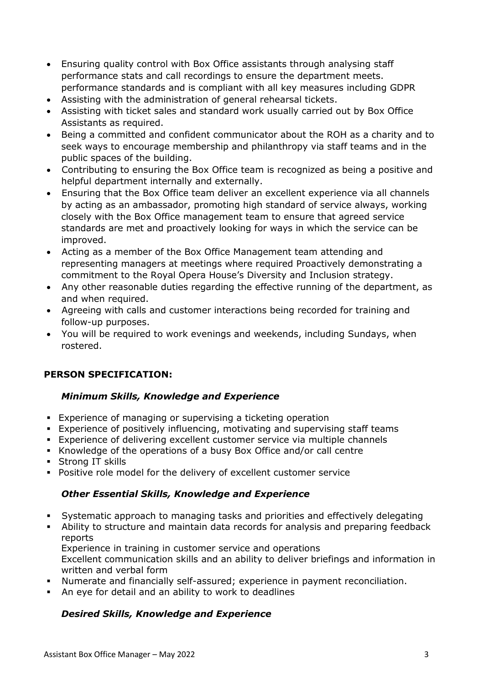- Ensuring quality control with Box Office assistants through analysing staff performance stats and call recordings to ensure the department meets. performance standards and is compliant with all key measures including GDPR
- Assisting with the administration of general rehearsal tickets.
- Assisting with ticket sales and standard work usually carried out by Box Office Assistants as required.
- Being a committed and confident communicator about the ROH as a charity and to seek ways to encourage membership and philanthropy via staff teams and in the public spaces of the building.
- Contributing to ensuring the Box Office team is recognized as being a positive and helpful department internally and externally.
- Ensuring that the Box Office team deliver an excellent experience via all channels by acting as an ambassador, promoting high standard of service always, working closely with the Box Office management team to ensure that agreed service standards are met and proactively looking for ways in which the service can be improved.
- Acting as a member of the Box Office Management team attending and representing managers at meetings where required Proactively demonstrating a commitment to the Royal Opera House's Diversity and Inclusion strategy.
- Any other reasonable duties regarding the effective running of the department, as and when required.
- Agreeing with calls and customer interactions being recorded for training and follow-up purposes.
- You will be required to work evenings and weekends, including Sundays, when rostered.

# **PERSON SPECIFICATION:**

# *Minimum Skills, Knowledge and Experience*

- **Experience of managing or supervising a ticketing operation**
- **Experience of positively influencing, motivating and supervising staff teams**
- **Experience of delivering excellent customer service via multiple channels**
- Knowledge of the operations of a busy Box Office and/or call centre
- Strong IT skills
- Positive role model for the delivery of excellent customer service

# *Other Essential Skills, Knowledge and Experience*

- Systematic approach to managing tasks and priorities and effectively delegating
- **EXT** Ability to structure and maintain data records for analysis and preparing feedback reports

Experience in training in customer service and operations

Excellent communication skills and an ability to deliver briefings and information in written and verbal form

- Numerate and financially self-assured; experience in payment reconciliation.
- An eye for detail and an ability to work to deadlines

# *Desired Skills, Knowledge and Experience*